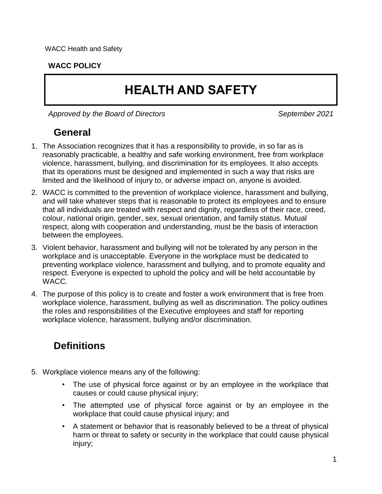#### **WACC POLICY**

# **HEALTH AND SAFETY**

*Approved by the Board of Directors September 2021*

## **General**

- 1. The Association recognizes that it has a responsibility to provide, in so far as is reasonably practicable, a healthy and safe working environment, free from workplace violence, harassment, bullying, and discrimination for its employees. It also accepts that its operations must be designed and implemented in such a way that risks are limited and the likelihood of injury to, or adverse impact on, anyone is avoided.
- 2. WACC is committed to the prevention of workplace violence, harassment and bullying, and will take whatever steps that is reasonable to protect its employees and to ensure that all individuals are treated with respect and dignity, regardless of their race, creed, colour, national origin, gender, sex, sexual orientation, and family status. Mutual respect, along with cooperation and understanding, must be the basis of interaction between the employees.
- 3. Violent behavior, harassment and bullying will not be tolerated by any person in the workplace and is unacceptable. Everyone in the workplace must be dedicated to preventing workplace violence, harassment and bullying, and to promote equality and respect. Everyone is expected to uphold the policy and will be held accountable by WACC.
- 4. The purpose of this policy is to create and foster a work environment that is free from workplace violence, harassment, bullying as well as discrimination. The policy outlines the roles and responsibilities of the Executive employees and staff for reporting workplace violence, harassment, bullying and/or discrimination.

# **Definitions**

- 5. Workplace violence means any of the following:
	- The use of physical force against or by an employee in the workplace that causes or could cause physical injury;
	- The attempted use of physical force against or by an employee in the workplace that could cause physical injury; and
	- A statement or behavior that is reasonably believed to be a threat of physical harm or threat to safety or security in the workplace that could cause physical injury;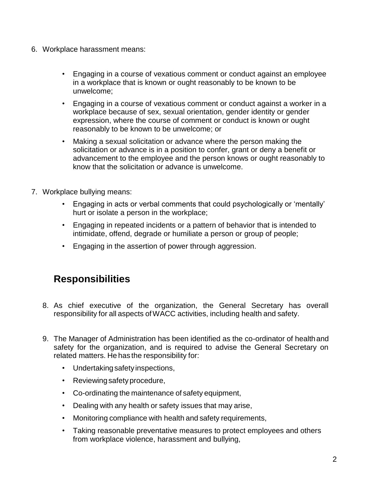- 6. Workplace harassment means:
	- Engaging in a course of vexatious comment or conduct against an employee in a workplace that is known or ought reasonably to be known to be unwelcome;
	- Engaging in a course of vexatious comment or conduct against a worker in a workplace because of sex, sexual orientation, gender identity or gender expression, where the course of comment or conduct is known or ought reasonably to be known to be unwelcome; or
	- Making a sexual solicitation or advance where the person making the solicitation or advance is in a position to confer, grant or deny a benefit or advancement to the employee and the person knows or ought reasonably to know that the solicitation or advance is unwelcome.
- 7. Workplace bullying means:
	- Engaging in acts or verbal comments that could psychologically or 'mentally' hurt or isolate a person in the workplace;
	- Engaging in repeated incidents or a pattern of behavior that is intended to intimidate, offend, degrade or humiliate a person or group of people;
	- Engaging in the assertion of power through aggression.

#### **Responsibilities**

- 8. As chief executive of the organization, the General Secretary has overall responsibility for all aspects ofWACC activities, including health and safety.
- 9. The Manager of Administration has been identified as the co-ordinator of healthand safety for the organization, and is required to advise the General Secretary on related matters. He has the responsibility for:
	- Undertakingsafety inspections,
	- Reviewing safety procedure,
	- Co-ordinating the maintenance of safety equipment,
	- Dealing with any health or safety issues that may arise,
	- Monitoring compliance with health and safety requirements,
	- Taking reasonable preventative measures to protect employees and others from workplace violence, harassment and bullying,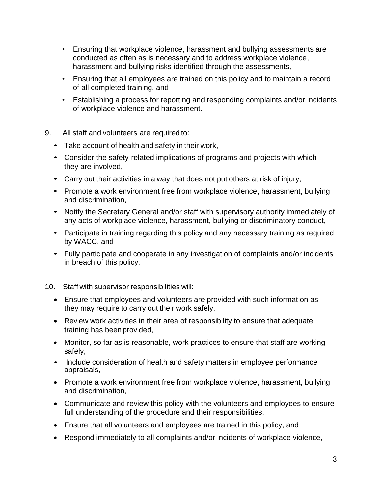- Ensuring that workplace violence, harassment and bullying assessments are conducted as often as is necessary and to address workplace violence, harassment and bullying risks identified through the assessments,
- Ensuring that all employees are trained on this policy and to maintain a record of all completed training, and
- Establishing a process for reporting and responding complaints and/or incidents of workplace violence and harassment.
- 9. All staff and volunteers are required to:
	- Take account of health and safety in their work,
	- Consider the safety-related implications of programs and projects with which they are involved,
	- Carry out their activities in a way that does not put others at risk of injury,
	- Promote a work environment free from workplace violence, harassment, bullying and discrimination,
	- Notify the Secretary General and/or staff with supervisory authority immediately of any acts of workplace violence, harassment, bullying or discriminatory conduct,
	- Participate in training regarding this policy and any necessary training as required by WACC, and
	- Fully participate and cooperate in any investigation of complaints and/or incidents in breach of this policy.
- 10. Staff with supervisor responsibilities will:
	- Ensure that employees and volunteers are provided with such information as they may require to carry out their work safely,
	- Review work activities in their area of responsibility to ensure that adequate training has been provided,
	- Monitor, so far as is reasonable, work practices to ensure that staff are working safely,
	- Include consideration of health and safety matters in employee performance appraisals,
	- Promote a work environment free from workplace violence, harassment, bullying and discrimination,
	- Communicate and review this policy with the volunteers and employees to ensure full understanding of the procedure and their responsibilities,
	- Ensure that all volunteers and employees are trained in this policy, and
	- Respond immediately to all complaints and/or incidents of workplace violence,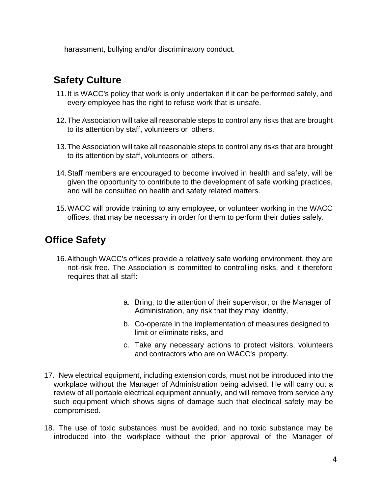harassment, bullying and/or discriminatory conduct.

# **Safety Culture**

- 11.It is WACC's policy that work is only undertaken if it can be performed safely, and every employee has the right to refuse work that is unsafe.
- 12.The Association will take all reasonable steps to control any risks that are brought to its attention by staff, volunteers or others.
- 13.The Association will take all reasonable steps to control any risks that are brought to its attention by staff, volunteers or others.
- 14.Staff members are encouraged to become involved in health and safety, will be given the opportunity to contribute to the development of safe working practices, and will be consulted on health and safety related matters.
- 15.WACC will provide training to any employee, or volunteer working in the WACC offices, that may be necessary in order for them to perform their duties safely.

## **Office Safety**

- 16.Although WACC's offices provide a relatively safe working environment, they are not-risk free. The Association is committed to controlling risks, and it therefore requires that all staff:
	- a. Bring, to the attention of their supervisor, or the Manager of Administration, any risk that they may identify,
	- b. Co-operate in the implementation of measures designed to limit or eliminate risks, and
	- c. Take any necessary actions to protect visitors, volunteers and contractors who are on WACC's property.
- 17. New electrical equipment, including extension cords, must not be introduced into the workplace without the Manager of Administration being advised. He will carry out a review of all portable electrical equipment annually, and will remove from service any such equipment which shows signs of damage such that electrical safety may be compromised.
- 18. The use of toxic substances must be avoided, and no toxic substance may be introduced into the workplace without the prior approval of the Manager of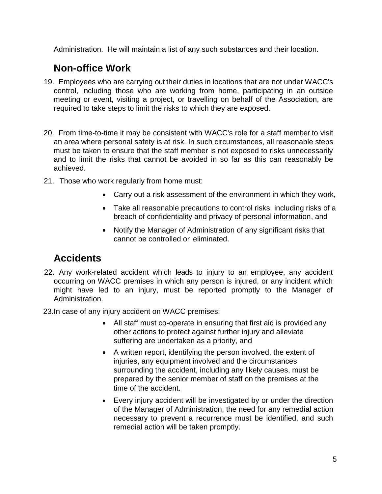Administration. He will maintain a list of any such substances and their location.

#### **Non-office Work**

- 19. Employees who are carrying out their duties in locations that are not under WACC's control, including those who are working from home, participating in an outside meeting or event, visiting a project, or travelling on behalf of the Association, are required to take steps to limit the risks to which they are exposed.
- 20. From time-to-time it may be consistent with WACC's role for a staff member to visit an area where personal safety is at risk. In such circumstances, all reasonable steps must be taken to ensure that the staff member is not exposed to risks unnecessarily and to limit the risks that cannot be avoided in so far as this can reasonably be achieved.
- 21. Those who work regularly from home must:
	- Carry out a risk assessment of the environment in which they work,
	- Take all reasonable precautions to control risks, including risks of a breach of confidentiality and privacy of personal information, and
	- Notify the Manager of Administration of any significant risks that cannot be controlled or eliminated.

## **Accidents**

- 22. Any work-related accident which leads to injury to an employee, any accident occurring on WACC premises in which any person is injured, or any incident which might have led to an injury, must be reported promptly to the Manager of Administration.
- 23.In case of any injury accident on WACC premises:
	- All staff must co-operate in ensuring that first aid is provided any other actions to protect against further injury and alleviate suffering are undertaken as a priority, and
	- A written report, identifying the person involved, the extent of injuries, any equipment involved and the circumstances surrounding the accident, including any likely causes, must be prepared by the senior member of staff on the premises at the time of the accident.
	- Every injury accident will be investigated by or under the direction of the Manager of Administration, the need for any remedial action necessary to prevent a recurrence must be identified, and such remedial action will be taken promptly.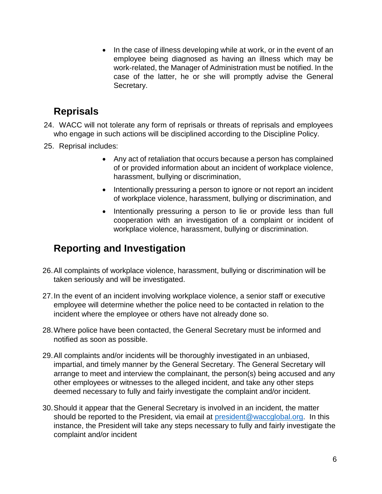• In the case of illness developing while at work, or in the event of an employee being diagnosed as having an illness which may be work-related, the Manager of Administration must be notified. In the case of the latter, he or she will promptly advise the General Secretary.

## **Reprisals**

- 24. WACC will not tolerate any form of reprisals or threats of reprisals and employees who engage in such actions will be disciplined according to the Discipline Policy.
- 25. Reprisal includes:
	- Any act of retaliation that occurs because a person has complained of or provided information about an incident of workplace violence, harassment, bullying or discrimination,
	- Intentionally pressuring a person to ignore or not report an incident of workplace violence, harassment, bullying or discrimination, and
	- Intentionally pressuring a person to lie or provide less than full cooperation with an investigation of a complaint or incident of workplace violence, harassment, bullying or discrimination.

## **Reporting and Investigation**

- 26.All complaints of workplace violence, harassment, bullying or discrimination will be taken seriously and will be investigated.
- 27.In the event of an incident involving workplace violence, a senior staff or executive employee will determine whether the police need to be contacted in relation to the incident where the employee or others have not already done so.
- 28.Where police have been contacted, the General Secretary must be informed and notified as soon as possible.
- 29.All complaints and/or incidents will be thoroughly investigated in an unbiased, impartial, and timely manner by the General Secretary. The General Secretary will arrange to meet and interview the complainant, the person(s) being accused and any other employees or witnesses to the alleged incident, and take any other steps deemed necessary to fully and fairly investigate the complaint and/or incident.
- 30.Should it appear that the General Secretary is involved in an incident, the matter should be reported to the President, via email at [president@waccglobal.org.](mailto:president@waccglobal.org) In this instance, the President will take any steps necessary to fully and fairly investigate the complaint and/or incident